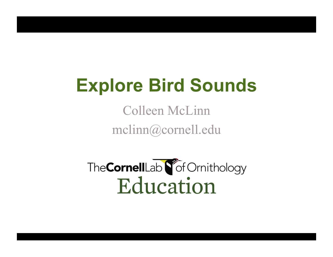# **Explore Bird Sounds**

Colleen McLinn mclinn@cornell.edu

The CornellLab **S** of Ornithology Education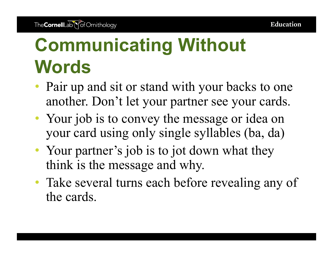# **Communicating Without Words**

- Pair up and sit or stand with your backs to one another. Don't let your partner see your cards.
- Your job is to convey the message or idea on your card using only single syllables (ba, da)
- Your partner's job is to jot down what they think is the message and why.
- Take several turns each before revealing any of the cards.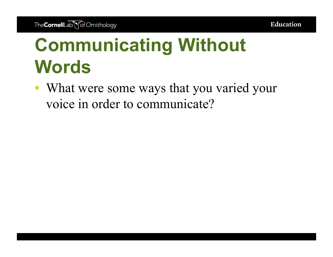# **Communicating Without Words**

• What were some ways that you varied your voice in order to communicate?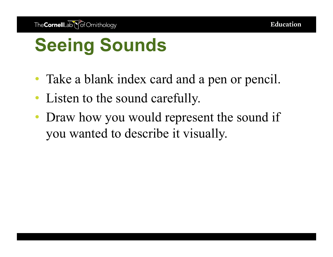- Take a blank index card and a pen or pencil.
- Listen to the sound carefully.
- Draw how you would represent the sound if you wanted to describe it visually.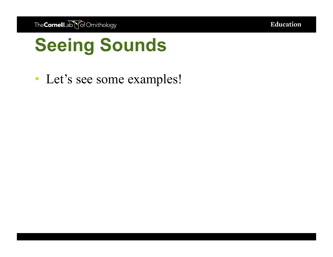**Education** 

#### **Seeing Sounds**

• Let's see some examples!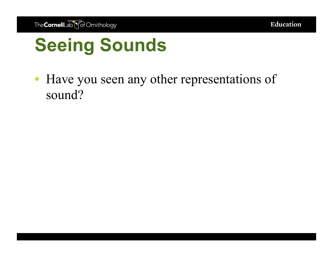• Have you seen any other representations of sound?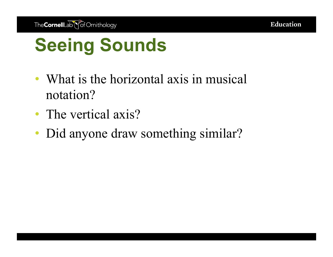- What is the horizontal axis in musical notation?
- The vertical axis?
- Did anyone draw something similar?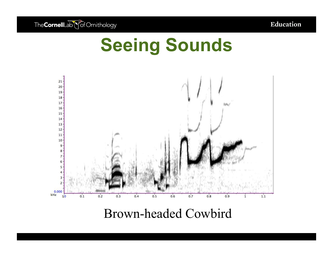

Brown-headed Cowbird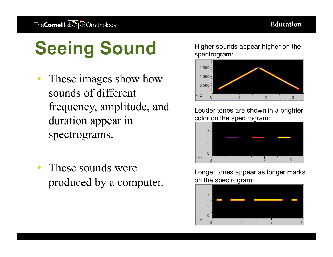- These images show how sounds of different frequency, amplitude, and duration appear in spectrograms.
- These sounds were produced by a computer.

Higher sounds appear higher on the spectrogram:



Louder tones are shown in a brighter color on the spectrogram:



Longer tones appear as longer marks on the spectrogram:

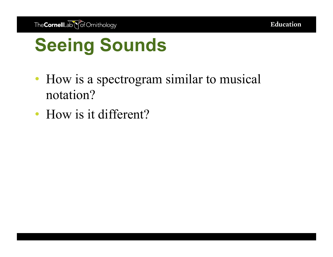- How is a spectrogram similar to musical notation?
- How is it different?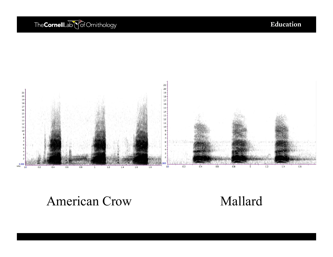#### The CornellLab \\off Ornithology

Education



#### American Crow Mallard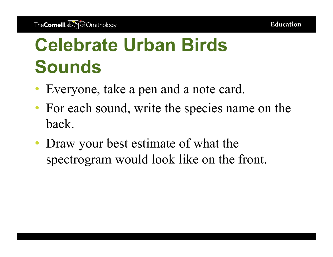# **Celebrate Urban Birds Sounds**

- Everyone, take a pen and a note card.
- For each sound, write the species name on the back.
- Draw your best estimate of what the spectrogram would look like on the front.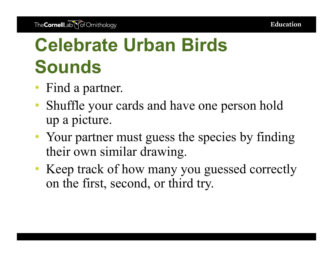# **Celebrate Urban Birds Sounds**

- Find a partner.
- Shuffle your cards and have one person hold up a picture.
- Your partner must guess the species by finding their own similar drawing.
- Keep track of how many you guessed correctly on the first, second, or third try.